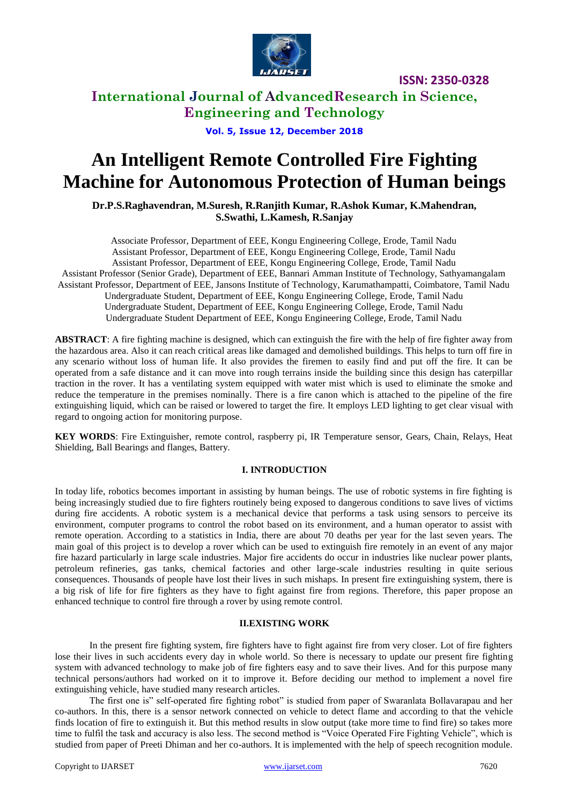

### **International Journal of AdvancedResearch in Science, Engineering and Technology**

**Vol. 5, Issue 12, December 2018**

# **An Intelligent Remote Controlled Fire Fighting Machine for Autonomous Protection of Human beings**

**Dr.P.S.Raghavendran, M.Suresh, R.Ranjith Kumar, R.Ashok Kumar, K.Mahendran, S.Swathi, L.Kamesh, R.Sanjay**

Associate Professor, Department of EEE, Kongu Engineering College, Erode, Tamil Nadu Assistant Professor, Department of EEE, Kongu Engineering College, Erode, Tamil Nadu Assistant Professor, Department of EEE, Kongu Engineering College, Erode, Tamil Nadu Assistant Professor (Senior Grade), Department of EEE, Bannari Amman Institute of Technology, Sathyamangalam Assistant Professor, Department of EEE, Jansons Institute of Technology, Karumathampatti, Coimbatore, Tamil Nadu Undergraduate Student, Department of EEE, Kongu Engineering College, Erode, Tamil Nadu Undergraduate Student, Department of EEE, Kongu Engineering College, Erode, Tamil Nadu Undergraduate Student Department of EEE, Kongu Engineering College, Erode, Tamil Nadu

**ABSTRACT**: A fire fighting machine is designed, which can extinguish the fire with the help of fire fighter away from the hazardous area. Also it can reach critical areas like damaged and demolished buildings. This helps to turn off fire in any scenario without loss of human life. It also provides the firemen to easily find and put off the fire. It can be operated from a safe distance and it can move into rough terrains inside the building since this design has caterpillar traction in the rover. It has a ventilating system equipped with water mist which is used to eliminate the smoke and reduce the temperature in the premises nominally. There is a fire canon which is attached to the pipeline of the fire extinguishing liquid, which can be raised or lowered to target the fire. It employs LED lighting to get clear visual with regard to ongoing action for monitoring purpose.

**KEY WORDS**: Fire Extinguisher, remote control, raspberry pi, IR Temperature sensor, Gears, Chain, Relays, Heat Shielding, Ball Bearings and flanges, Battery.

#### **I. INTRODUCTION**

In today life, robotics becomes important in assisting by human beings. The use of robotic systems in fire fighting is being increasingly studied due to fire fighters routinely being exposed to dangerous conditions to save lives of victims during fire accidents. A robotic system is a mechanical device that performs a task using sensors to perceive its environment, computer programs to control the robot based on its environment, and a human operator to assist with remote operation. According to a statistics in India, there are about 70 deaths per year for the last seven years. The main goal of this project is to develop a rover which can be used to extinguish fire remotely in an event of any major fire hazard particularly in large scale industries. Major fire accidents do occur in industries like nuclear power plants, petroleum refineries, gas tanks, chemical factories and other large-scale industries resulting in quite serious consequences. Thousands of people have lost their lives in such mishaps. In present fire extinguishing system, there is a big risk of life for fire fighters as they have to fight against fire from regions. Therefore, this paper propose an enhanced technique to control fire through a rover by using remote control.

#### **II.EXISTING WORK**

In the present fire fighting system, fire fighters have to fight against fire from very closer. Lot of fire fighters lose their lives in such accidents every day in whole world. So there is necessary to update our present fire fighting system with advanced technology to make job of fire fighters easy and to save their lives. And for this purpose many technical persons/authors had worked on it to improve it. Before deciding our method to implement a novel fire extinguishing vehicle, have studied many research articles.

The first one is" self-operated fire fighting robot" is studied from paper of Swaranlata Bollavarapau and her co-authors. In this, there is a sensor network connected on vehicle to detect flame and according to that the vehicle finds location of fire to extinguish it. But this method results in slow output (take more time to find fire) so takes more time to fulfil the task and accuracy is also less. The second method is "Voice Operated Fire Fighting Vehicle", which is studied from paper of Preeti Dhiman and her co-authors. It is implemented with the help of speech recognition module.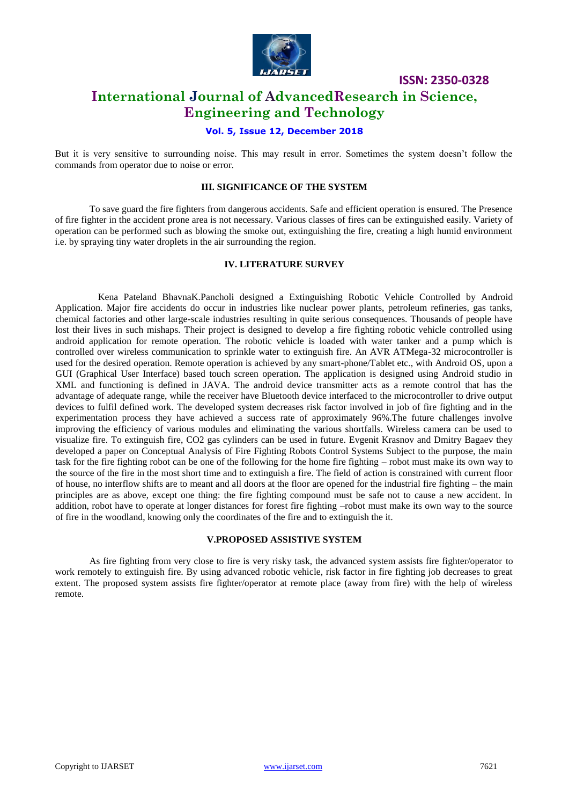

### **International Journal of AdvancedResearch in Science, Engineering and Technology**

#### **Vol. 5, Issue 12, December 2018**

But it is very sensitive to surrounding noise. This may result in error. Sometimes the system doesn't follow the commands from operator due to noise or error.

#### **III. SIGNIFICANCE OF THE SYSTEM**

To save guard the fire fighters from dangerous accidents. Safe and efficient operation is ensured. The Presence of fire fighter in the accident prone area is not necessary. Various classes of fires can be extinguished easily. Variety of operation can be performed such as blowing the smoke out, extinguishing the fire, creating a high humid environment i.e. by spraying tiny water droplets in the air surrounding the region.

#### **IV. LITERATURE SURVEY**

Kena Pateland BhavnaK.Pancholi designed a Extinguishing Robotic Vehicle Controlled by Android Application. Major fire accidents do occur in industries like nuclear power plants, petroleum refineries, gas tanks, chemical factories and other large-scale industries resulting in quite serious consequences. Thousands of people have lost their lives in such mishaps. Their project is designed to develop a fire fighting robotic vehicle controlled using android application for remote operation. The robotic vehicle is loaded with water tanker and a pump which is controlled over wireless communication to sprinkle water to extinguish fire. An AVR ATMega-32 microcontroller is used for the desired operation. Remote operation is achieved by any smart-phone/Tablet etc., with Android OS, upon a GUI (Graphical User Interface) based touch screen operation. The application is designed using Android studio in XML and functioning is defined in JAVA. The android device transmitter acts as a remote control that has the advantage of adequate range, while the receiver have Bluetooth device interfaced to the microcontroller to drive output devices to fulfil defined work. The developed system decreases risk factor involved in job of fire fighting and in the experimentation process they have achieved a success rate of approximately 96%.The future challenges involve improving the efficiency of various modules and eliminating the various shortfalls. Wireless camera can be used to visualize fire. To extinguish fire, CO2 gas cylinders can be used in future. Evgenit Krasnov and Dmitry Bagaev they developed a paper on Conceptual Analysis of Fire Fighting Robots Control Systems Subject to the purpose, the main task for the fire fighting robot can be one of the following for the home fire fighting – robot must make its own way to the source of the fire in the most short time and to extinguish a fire. The field of action is constrained with current floor of house, no interflow shifts are to meant and all doors at the floor are opened for the industrial fire fighting – the main principles are as above, except one thing: the fire fighting compound must be safe not to cause a new accident. In addition, robot have to operate at longer distances for forest fire fighting –robot must make its own way to the source of fire in the woodland, knowing only the coordinates of the fire and to extinguish the it.

#### **V.PROPOSED ASSISTIVE SYSTEM**

As fire fighting from very close to fire is very risky task, the advanced system assists fire fighter/operator to work remotely to extinguish fire. By using advanced robotic vehicle, risk factor in fire fighting job decreases to great extent. The proposed system assists fire fighter/operator at remote place (away from fire) with the help of wireless remote.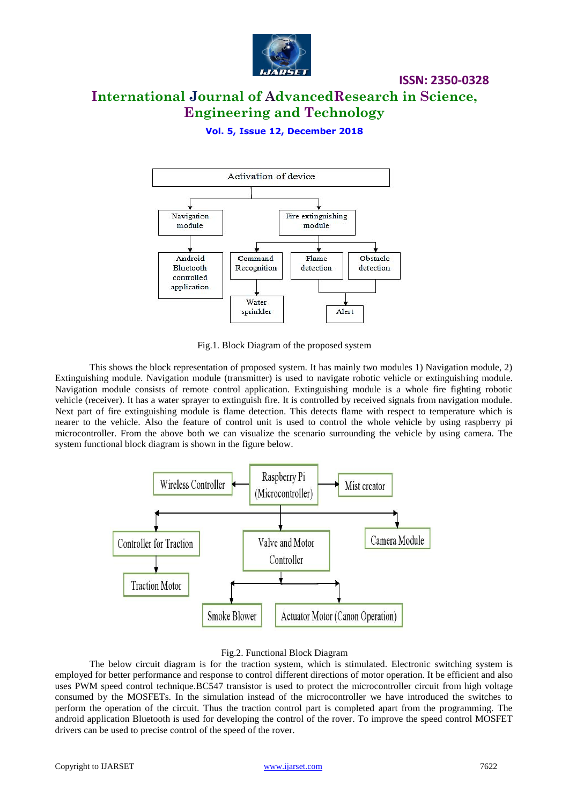

# **International Journal of AdvancedResearch in Science, Engineering and Technology**

**Vol. 5, Issue 12, December 2018**



Fig.1. Block Diagram of the proposed system

This shows the block representation of proposed system. It has mainly two modules 1) Navigation module, 2) Extinguishing module. Navigation module (transmitter) is used to navigate robotic vehicle or extinguishing module. Navigation module consists of remote control application. Extinguishing module is a whole fire fighting robotic vehicle (receiver). It has a water sprayer to extinguish fire. It is controlled by received signals from navigation module. Next part of fire extinguishing module is flame detection. This detects flame with respect to temperature which is nearer to the vehicle. Also the feature of control unit is used to control the whole vehicle by using raspberry pi microcontroller. From the above both we can visualize the scenario surrounding the vehicle by using camera. The system functional block diagram is shown in the figure below.



#### Fig.2. Functional Block Diagram

The below circuit diagram is for the traction system, which is stimulated. Electronic switching system is employed for better performance and response to control different directions of motor operation. It be efficient and also uses PWM speed control technique.BC547 transistor is used to protect the microcontroller circuit from high voltage consumed by the MOSFETs. In the simulation instead of the microcontroller we have introduced the switches to perform the operation of the circuit. Thus the traction control part is completed apart from the programming. The android application Bluetooth is used for developing the control of the rover. To improve the speed control MOSFET drivers can be used to precise control of the speed of the rover.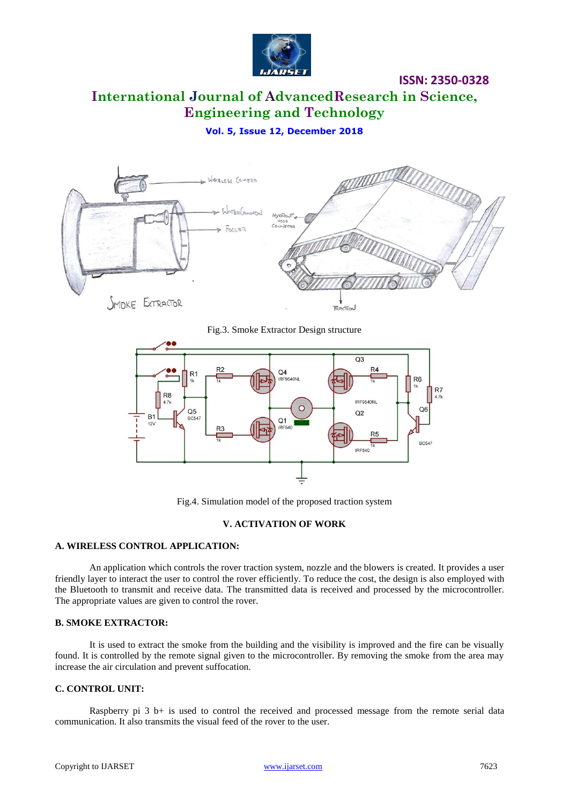

# **International Journal of AdvancedResearch in Science, Engineering and Technology**

**Vol. 5, Issue 12, December 2018**



Fig.3. Smoke Extractor Design structure



Fig.4. Simulation model of the proposed traction system

#### **V. ACTIVATION OF WORK**

#### **A. WIRELESS CONTROL APPLICATION:**

An application which controls the rover traction system, nozzle and the blowers is created. It provides a user friendly layer to interact the user to control the rover efficiently. To reduce the cost, the design is also employed with the Bluetooth to transmit and receive data. The transmitted data is received and processed by the microcontroller. The appropriate values are given to control the rover.

#### **B. SMOKE EXTRACTOR:**

It is used to extract the smoke from the building and the visibility is improved and the fire can be visually found. It is controlled by the remote signal given to the microcontroller. By removing the smoke from the area may increase the air circulation and prevent suffocation.

#### **C. CONTROL UNIT:**

Raspberry pi  $3$  b+ is used to control the received and processed message from the remote serial data communication. It also transmits the visual feed of the rover to the user.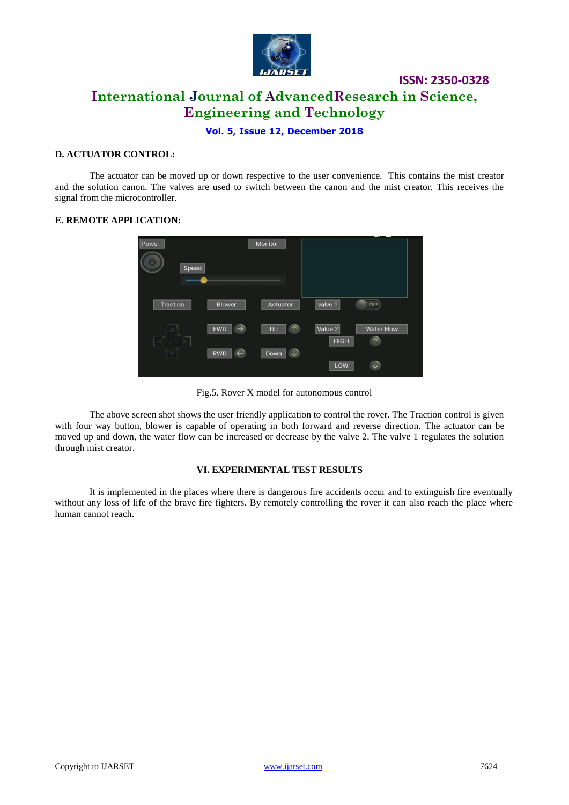

# **ISSN: 2350-0328 International Journal of AdvancedResearch in Science, Engineering and Technology**

#### **Vol. 5, Issue 12, December 2018**

#### **D. ACTUATOR CONTROL:**

The actuator can be moved up or down respective to the user convenience. This contains the mist creator and the solution canon. The valves are used to switch between the canon and the mist creator. This receives the signal from the microcontroller.

#### **E. REMOTE APPLICATION:**

| Power<br>്യ<br>Speed |                             | Monitor          |                        |                                 |
|----------------------|-----------------------------|------------------|------------------------|---------------------------------|
| Traction             | <b>Blower</b>               | Actuator         | valve 1                | OFF                             |
|                      | <b>FWD</b><br>$\rightarrow$ | $\uparrow$<br>Up | Value 2<br><b>HIGH</b> | <b>Water Flow</b><br>$\uparrow$ |
|                      | <b>RWD</b><br>$\leftarrow$  | Down             | LOW                    | $\downarrow$                    |

Fig.5. Rover X model for autonomous control

The above screen shot shows the user friendly application to control the rover. The Traction control is given with four way button, blower is capable of operating in both forward and reverse direction. The actuator can be moved up and down, the water flow can be increased or decrease by the valve 2. The valve 1 regulates the solution through mist creator.

#### **VI. EXPERIMENTAL TEST RESULTS**

It is implemented in the places where there is dangerous fire accidents occur and to extinguish fire eventually without any loss of life of the brave fire fighters. By remotely controlling the rover it can also reach the place where human cannot reach.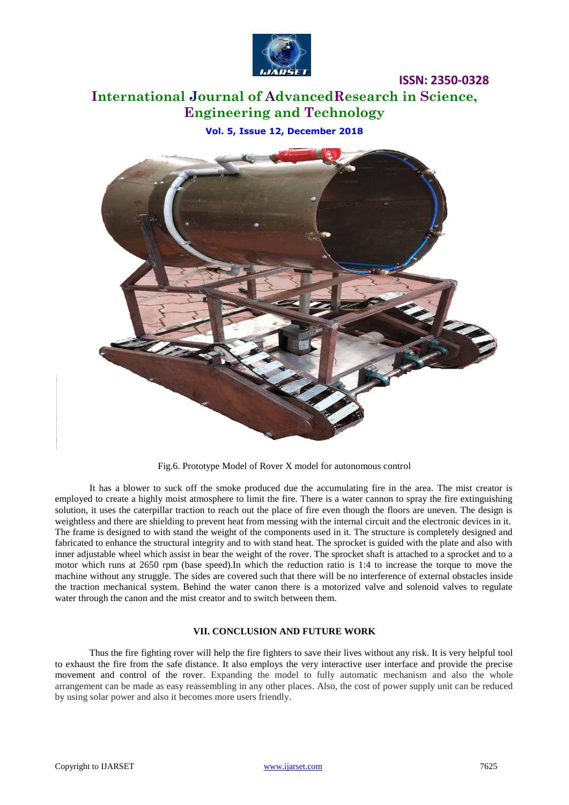

# **International Journal of AdvancedResearch in Science, Engineering and Technology**

**Vol. 5, Issue 12, December 2018**



Fig.6. Prototype Model of Rover X model for autonomous control

It has a blower to suck off the smoke produced due the accumulating fire in the area. The mist creator is employed to create a highly moist atmosphere to limit the fire. There is a water cannon to spray the fire extinguishing solution, it uses the caterpillar traction to reach out the place of fire even though the floors are uneven. The design is weightless and there are shielding to prevent heat from messing with the internal circuit and the electronic devices in it. The frame is designed to with stand the weight of the components used in it. The structure is completely designed and fabricated to enhance the structural integrity and to with stand heat. The sprocket is guided with the plate and also with inner adjustable wheel which assist in bear the weight of the rover. The sprocket shaft is attached to a sprocket and to a motor which runs at 2650 rpm (base speed).In which the reduction ratio is 1:4 to increase the torque to move the machine without any struggle. The sides are covered such that there will be no interference of external obstacles inside the traction mechanical system. Behind the water canon there is a motorized valve and solenoid valves to regulate water through the canon and the mist creator and to switch between them.

#### **VII. CONCLUSION AND FUTURE WORK**

Thus the fire fighting rover will help the fire fighters to save their lives without any risk. It is very helpful tool to exhaust the fire from the safe distance. It also employs the very interactive user interface and provide the precise movement and control of the rover. Expanding the model to fully automatic mechanism and also the whole arrangement can be made as easy reassembling in any other places. Also, the cost of power supply unit can be reduced by using solar power and also it becomes more users friendly.